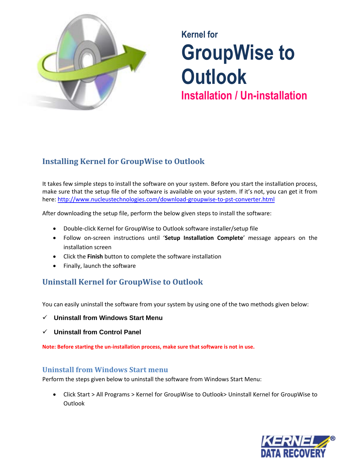

# **Kernel for GroupWise to Outlook Installation / Un-installation**

## **Installing Kernel for GroupWise to Outlook**

It takes few simple steps to install the software on your system. Before you start the installation process, make sure that the setup file of the software is available on your system. If it's not, you can get it from here:<http://www.nucleustechnologies.com/download-groupwise-to-pst-converter.html>

After downloading the setup file, perform the below given steps to install the software:

- Double-click Kernel for GroupWise to Outlook software installer/setup file
- Follow on-screen instructions until '**Setup Installation Complete**' message appears on the installation screen
- Click the **Finish** button to complete the software installation
- Finally, launch the software

## **Uninstall Kernel for GroupWise to Outlook**

You can easily uninstall the software from your system by using one of the two methods given below:

- **Uninstall from Windows Start Menu**
- **Uninstall from Control Panel**

**Note: Before starting the un-installation process, make sure that software is not in use.** 

#### **Uninstall from Windows Start menu**

Perform the steps given below to uninstall the software from Windows Start Menu:

 Click Start > All Programs > Kernel for GroupWise to Outlook> Uninstall Kernel for GroupWise to **Outlook**